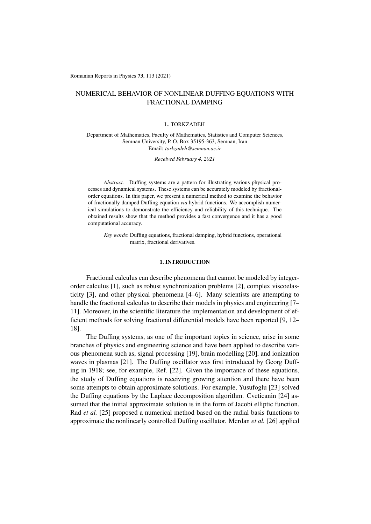Romanian Reports in Physics 73, 113 (2021)

# NUMERICAL BEHAVIOR OF NONLINEAR DUFFING EQUATIONS WITH FRACTIONAL DAMPING

#### L. TORKZADEH

Department of Mathematics, Faculty of Mathematics, Statistics and Computer Sciences, Semnan University, P. O. Box 35195-363, Semnan, Iran Email: *torkzadeh@semnan.ac.ir*

*Received February 4, 2021*

*Abstract.* Duffing systems are a pattern for illustrating various physical processes and dynamical systems. These systems can be accurately modeled by fractionalorder equations. In this paper, we present a numerical method to examine the behavior of fractionally damped Duffing equation *via* hybrid functions. We accomplish numerical simulations to demonstrate the efficiency and reliability of this technique. The obtained results show that the method provides a fast convergence and it has a good computational accuracy.

*Key words*: Duffing equations, fractional damping, hybrid functions, operational matrix, fractional derivatives.

### 1. INTRODUCTION

Fractional calculus can describe phenomena that cannot be modeled by integerorder calculus [1], such as robust synchronization problems [2], complex viscoelasticity [3], and other physical phenomena [4–6]. Many scientists are attempting to handle the fractional calculus to describe their models in physics and engineering [7– 11]. Moreover, in the scientific literature the implementation and development of efficient methods for solving fractional differential models have been reported [9, 12– 18].

The Duffing systems, as one of the important topics in science, arise in some branches of physics and engineering science and have been applied to describe various phenomena such as, signal processing [19], brain modelling [20], and ionization waves in plasmas [21]. The Duffing oscillator was first introduced by Georg Duffing in 1918; see, for example, Ref. [22]. Given the importance of these equations, the study of Duffing equations is receiving growing attention and there have been some attempts to obtain approximate solutions. For example, Yusufoglu [23] solved the Duffing equations by the Laplace decomposition algorithm. Cveticanin [24] assumed that the initial approximate solution is in the form of Jacobi elliptic function. Rad *et al.* [25] proposed a numerical method based on the radial basis functions to approximate the nonlinearly controlled Duffing oscillator. Merdan *et al.* [26] applied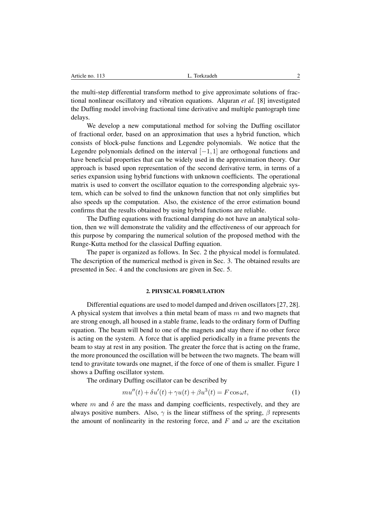| L. Torkzadeh<br>Article no. 113<br>. |  |
|--------------------------------------|--|
|--------------------------------------|--|

the multi-step differential transform method to give approximate solutions of fractional nonlinear oscillatory and vibration equations. Alquran *et al.* [8] investigated the Duffing model involving fractional time derivative and multiple pantograph time delays.

We develop a new computational method for solving the Duffing oscillator of fractional order, based on an approximation that uses a hybrid function, which consists of block-pulse functions and Legendre polynomials. We notice that the Legendre polynomials defined on the interval  $[-1,1]$  are orthogonal functions and have beneficial properties that can be widely used in the approximation theory. Our approach is based upon representation of the second derivative term, in terms of a series expansion using hybrid functions with unknown coefficients. The operational matrix is used to convert the oscillator equation to the corresponding algebraic system, which can be solved to find the unknown function that not only simplifies but also speeds up the computation. Also, the existence of the error estimation bound confirms that the results obtained by using hybrid functions are reliable.

The Duffing equations with fractional damping do not have an analytical solution, then we will demonstrate the validity and the effectiveness of our approach for this purpose by comparing the numerical solution of the proposed method with the Runge-Kutta method for the classical Duffing equation.

The paper is organized as follows. In Sec. 2 the physical model is formulated. The description of the numerical method is given in Sec. 3. The obtained results are presented in Sec. 4 and the conclusions are given in Sec. 5.

### 2. PHYSICAL FORMULATION

Differential equations are used to model damped and driven oscillators [27, 28]. A physical system that involves a thin metal beam of mass *m* and two magnets that are strong enough, all housed in a stable frame, leads to the ordinary form of Duffing equation. The beam will bend to one of the magnets and stay there if no other force is acting on the system. A force that is applied periodically in a frame prevents the beam to stay at rest in any position. The greater the force that is acting on the frame, the more pronounced the oscillation will be between the two magnets. The beam will tend to gravitate towards one magnet, if the force of one of them is smaller. Figure 1 shows a Duffing oscillator system.

The ordinary Duffing oscillator can be described by

$$
mu''(t) + \delta u'(t) + \gamma u(t) + \beta u^3(t) = F \cos \omega t, \tag{1}
$$

where  $m$  and  $\delta$  are the mass and damping coefficients, respectively, and they are always positive numbers. Also,  $\gamma$  is the linear stiffness of the spring,  $\beta$  represents the amount of nonlinearity in the restoring force, and  $F$  and  $\omega$  are the excitation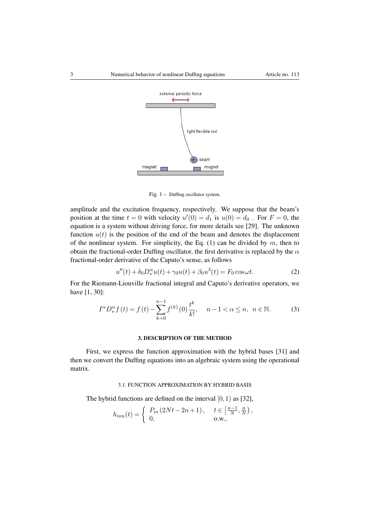

Fig. 1 – Duffing oscillator system.

amplitude and the excitation frequency, respectively. We suppose that the beam's position at the time  $t = 0$  with velocity  $u'(0) = d_1$  is  $u(0) = d_0$ . For  $F = 0$ , the equation is a system without driving force, for more details see [29]. The unknown function  $u(t)$  is the position of the end of the beam and denotes the displacement of the nonlinear system. For simplicity, the Eq. (1) can be divided by *m*, then to obtain the fractional-order Duffing oscillator, the first derivative is replaced by the  $\alpha$ fractional-order derivative of the Caputo's sense, as follows

$$
u''(t) + \delta_0 D_*^{\alpha} u(t) + \gamma_0 u(t) + \beta_0 u^3(t) = F_0 \cos \omega t.
$$
 (2)

For the Riemann-Liouville fractional integral and Caputo's derivative operators, we have [1, 30]:

$$
I^{\alpha}D^{\alpha}_{*}f(t) = f(t) - \sum_{k=0}^{n-1} f^{(k)}(0) \frac{t^{k}}{k!}, \quad n-1 < \alpha \le n, \ n \in \mathbb{N}.
$$
 (3)

### 3. DESCRIPTION OF THE METHOD

First, we express the function approximation with the hybrid bases [31] and then we convert the Duffing equations into an algebraic system using the operational matrix.

## 3.1. FUNCTION APPROXIMATION BY HYBRID BASIS

The hybrid functions are defined on the interval [0*,*1) as [32],

$$
h_{nm}(t) = \begin{cases} P_m(2Nt - 2n + 1), & t \in \left[\frac{n-1}{N}, \frac{n}{N}\right), \\ 0, & \text{o.w.,} \end{cases}
$$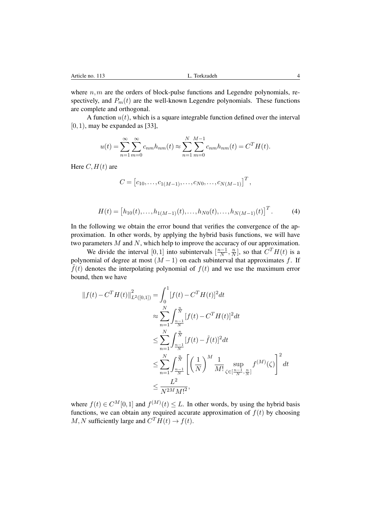where  $n, m$  are the orders of block-pulse functions and Legendre polynomials, respectively, and  $P_m(t)$  are the well-known Legendre polynomials. These functions are complete and orthogonal.

A function  $u(t)$ , which is a square integrable function defined over the interval [0*,*1), may be expanded as [33],

$$
u(t) = \sum_{n=1}^{\infty} \sum_{m=0}^{\infty} c_{nm} h_{nm}(t) \approx \sum_{n=1}^{N} \sum_{m=0}^{M-1} c_{nm} h_{nm}(t) = C^{T} H(t).
$$

Here  $C, H(t)$  are

$$
C = [c_{10}, \ldots, c_{1(M-1)}, \ldots, c_{N0}, \ldots, c_{N(M-1)}]^T,
$$

$$
H(t) = [h_{10}(t), \dots, h_{1(M-1)}(t), \dots, h_{N0}(t), \dots, h_{N(M-1)}(t)]^{T}.
$$
 (4)

In the following we obtain the error bound that verifies the convergence of the approximation. In other words, by applying the hybrid basis functions, we will have two parameters *M* and *N*, which help to improve the accuracy of our approximation.

We divide the interval  $[0,1]$  into subintervals  $\left[\frac{n-1}{N}, \frac{n}{N}\right]$ , so that  $C^T H(t)$  is a polynomial of degree at most  $(M - 1)$  on each subinterval that approximates *f*. If  $\tilde{f}(t)$  denotes the interpolating polynomial of  $f(t)$  and we use the maximum error bound, then we have

$$
||f(t) - CT H(t)||_{L^{2}([0,1])}^{2} = \int_{0}^{1} [f(t) - CT H(t)]^{2} dt
$$
  
\n
$$
\approx \sum_{n=1}^{N} \int_{\frac{n-1}{N}}^{\frac{n}{N}} [f(t) - CT H(t)]^{2} dt
$$
  
\n
$$
\leq \sum_{n=1}^{N} \int_{\frac{n-1}{N}}^{\frac{n}{N}} [f(t) - \tilde{f}(t)]^{2} dt
$$
  
\n
$$
\leq \sum_{n=1}^{N} \int_{\frac{n-1}{N}}^{\frac{n}{N}} \left[ \left(\frac{1}{N}\right)^{M} \frac{1}{M!} \sup_{\zeta \in [\frac{n-1}{N}, \frac{n}{N}]} f^{(M)}(\zeta) \right]^{2} dt
$$
  
\n
$$
\leq \frac{L^{2}}{N^{2M} M!^{2}},
$$

where  $f(t) \in C^M[0,1]$  and  $f^{(M)}(t) \leq L$ . In other words, by using the hybrid basis functions, we can obtain any required accurate approximation of  $f(t)$  by choosing *M, N* sufficiently large and  $C^T H(t) \rightarrow f(t)$ .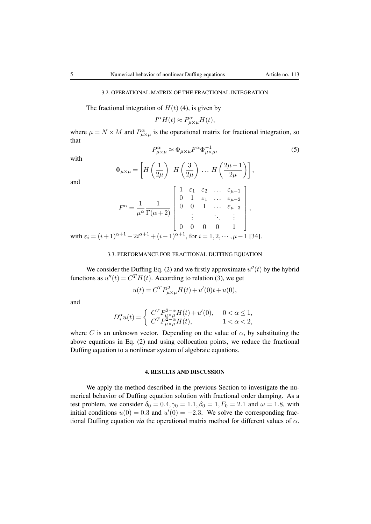### 3.2. OPERATIONAL MATRIX OF THE FRACTIONAL INTEGRATION

The fractional integration of  $H(t)$  (4), is given by

$$
I^{\alpha}H(t) \approx P^{\alpha}_{\mu \times \mu}H(t),
$$

where  $\mu = N \times M$  and  $P^{\alpha}_{\mu \times \mu}$  is the operational matrix for fractional integration, so that

 $P^{\alpha}_{\mu \times \mu} \approx \Phi_{\mu \times \mu} F^{\alpha} \Phi^{-1}_{\mu \times \mu},$  (5)

with

and

with  $\varepsilon_i$ 

$$
\Phi_{\mu\times\mu} = \left[ H\left(\frac{1}{2\mu}\right) H\left(\frac{3}{2\mu}\right) \dots H\left(\frac{2\mu-1}{2\mu}\right) \right],
$$
  

$$
F^{\alpha} = \frac{1}{\mu^{\alpha}} \frac{1}{\Gamma(\alpha+2)} \begin{bmatrix} 1 & \varepsilon_1 & \varepsilon_2 & \dots & \varepsilon_{\mu-1} \\ 0 & 1 & \varepsilon_1 & \dots & \varepsilon_{\mu-2} \\ 0 & 0 & 1 & \dots & \varepsilon_{\mu-3} \\ \vdots & \vdots & \ddots & \vdots \\ 0 & 0 & 0 & 0 & 1 \end{bmatrix},
$$
  

$$
= (i+1)^{\alpha+1} - 2i^{\alpha+1} + (i-1)^{\alpha+1}, \text{ for } i = 1, 2, \dots, \mu - 1 \text{ [34]}.
$$

#### 3.3. PERFORMANCE FOR FRACTIONAL DUFFING EQUATION

We consider the Duffing Eq. (2) and we firstly approximate  $u''(t)$  by the hybrid functions as  $u''(t) = C^T H(t)$ . According to relation (3), we get

$$
u(t) = C^T P_{\mu \times \mu}^2 H(t) + u'(0)t + u(0),
$$

and

$$
D_*^{\alpha}u(t) = \begin{cases} C^T P_{\mu \times \mu}^{2-\alpha} H(t) + u'(0), & 0 < \alpha \le 1, \\ C^T P_{\mu \times \mu}^{2-\alpha} H(t), & 1 < \alpha < 2, \end{cases}
$$

where *C* is an unknown vector. Depending on the value of  $\alpha$ , by substituting the above equations in Eq. (2) and using collocation points, we reduce the fractional Duffing equation to a nonlinear system of algebraic equations.

### 4. RESULTS AND DISCUSSION

We apply the method described in the previous Section to investigate the numerical behavior of Duffing equation solution with fractional order damping. As a test problem, we consider  $\delta_0 = 0.4, \gamma_0 = 1.1, \beta_0 = 1, F_0 = 2.1$  and  $\omega = 1.8$ , with initial conditions  $u(0) = 0.3$  and  $u'(0) = -2.3$ . We solve the corresponding fractional Duffing equation *via* the operational matrix method for different values of  $\alpha$ .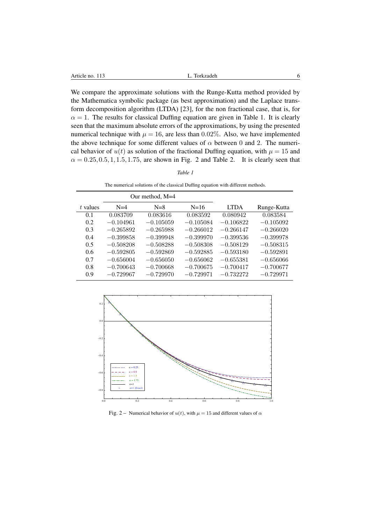We compare the approximate solutions with the Runge-Kutta method provided by the Mathematica symbolic package (as best approximation) and the Laplace transform decomposition algorithm (LTDA) [23], for the non fractional case, that is, for  $\alpha = 1$ . The results for classical Duffing equation are given in Table 1. It is clearly seen that the maximum absolute errors of the approximations, by using the presented numerical technique with  $\mu = 16$ , are less than 0.02%. Also, we have implemented the above technique for some different values of  $\alpha$  between 0 and 2. The numerical behavior of  $u(t)$  as solution of the fractional Duffing equation, with  $\mu = 15$  and  $\alpha = 0.25, 0.5, 1, 1.5, 1.75$ , are shown in Fig. 2 and Table 2. It is clearly seen that

| × |  |
|---|--|
|---|--|

The numerical solutions of the classical Duffing equation with different methods.

|          |             | Our method, M=4 |             |             |             |
|----------|-------------|-----------------|-------------|-------------|-------------|
| t values | $N=4$       | $N=8$           | $N=16$      | <b>LTDA</b> | Runge-Kutta |
| 0.1      | 0.083709    | 0.083616        | 0.083592    | 0.080942    | 0.083584    |
| 0.2      | $-0.104961$ | $-0.105059$     | $-0.105084$ | $-0.106822$ | $-0.105092$ |
| 0.3      | $-0.265892$ | $-0.265988$     | $-0.266012$ | $-0.266147$ | $-0.266020$ |
| 0.4      | $-0.399858$ | $-0.399948$     | $-0.399970$ | $-0.399536$ | $-0.399978$ |
| 0.5      | $-0.508208$ | $-0.508288$     | $-0.508308$ | $-0.508129$ | $-0.508315$ |
| 0.6      | $-0.592805$ | $-0.592869$     | $-0.592885$ | $-0.593180$ | $-0.592891$ |
| 0.7      | $-0.656004$ | $-0.656050$     | $-0.656062$ | $-0.655381$ | $-0.656066$ |
| 0.8      | $-0.700643$ | $-0.700668$     | $-0.700675$ | $-0.700417$ | $-0.700677$ |
| 0.9      | $-0.729967$ | $-0.729970$     | $-0.729971$ | $-0.732272$ | $-0.729971$ |



Fig. 2 – Numerical behavior of  $u(t)$ , with  $\mu = 15$  and different values of  $\alpha$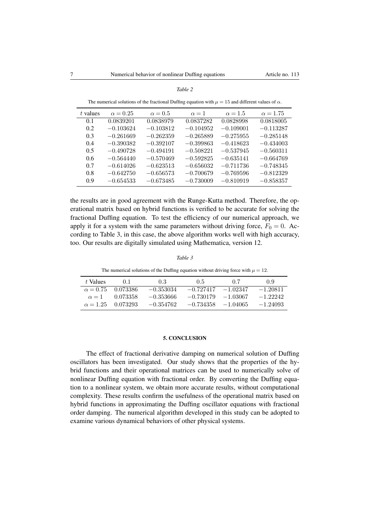| t values | $\alpha = 0.25$ | $\alpha = 0.5$ | $\alpha = 1$ | $\alpha = 1.5$ | $\alpha = 1.75$ |
|----------|-----------------|----------------|--------------|----------------|-----------------|
| 0.1      | 0.0839201       | 0.0838979      | 0.0837282    | 0.0828998      | 0.0818005       |
| 0.2      | $-0.103624$     | $-0.103812$    | $-0.104952$  | $-0.109001$    | $-0.113287$     |
| 0.3      | $-0.261669$     | $-0.262359$    | $-0.265889$  | $-0.275955$    | $-0.285148$     |
| 0.4      | $-0.390382$     | $-0.392107$    | $-0.399863$  | $-0.418623$    | $-0.434003$     |
| 0.5      | $-0.490728$     | $-0.494191$    | $-0.508221$  | $-0.537945$    | $-0.560311$     |
| 0.6      | $-0.564440$     | $-0.570469$    | $-0.592825$  | $-0.635141$    | $-0.664769$     |
| 0.7      | $-0.614026$     | $-0.623513$    | $-0.656032$  | $-0.711736$    | $-0.748345$     |
| 0.8      | $-0.642750$     | $-0.656573$    | $-0.700679$  | $-0.769596$    | $-0.812329$     |
| 0.9      | $-0.654533$     | $-0.673485$    | $-0.730009$  | $-0.810919$    | $-0.858357$     |

*Table 2*

The numerical solutions of the fractional Duffing equation with  $\mu = 15$  and different values of  $\alpha$ .

the results are in good agreement with the Runge-Kutta method. Therefore, the operational matrix based on hybrid functions is verified to be accurate for solving the fractional Duffing equation. To test the efficiency of our numerical approach, we apply it for a system with the same parameters without driving force,  $F_0 = 0$ . According to Table 3, in this case, the above algorithm works well with high accuracy, too. Our results are digitally simulated using Mathematica, version 12.

#### *Table 3*

The numerical solutions of the Duffing equation without driving force with  $\mu = 12$ .

| t Values     | $\cup$                   | 0.3         | 0.5                   | 07        | 09         |
|--------------|--------------------------|-------------|-----------------------|-----------|------------|
|              | $\alpha = 0.75$ 0.073386 | $-0.353034$ | $-0.727417 - 1.02347$ |           | $-1.20811$ |
| $\alpha = 1$ | 0.073358                 | $-0.353666$ | $-0.730179$           | --1.03067 | $-122242$  |
|              | $\alpha = 1.25$ 0.073293 | $-0.354762$ | $-0.734358 - 1.04065$ |           | $-1.24093$ |

#### 5. CONCLUSION

The effect of fractional derivative damping on numerical solution of Duffing oscillators has been investigated. Our study shows that the properties of the hybrid functions and their operational matrices can be used to numerically solve of nonlinear Duffing equation with fractional order. By converting the Duffing equation to a nonlinear system, we obtain more accurate results, without computational complexity. These results confirm the usefulness of the operational matrix based on hybrid functions in approximating the Duffing oscillator equations with fractional order damping. The numerical algorithm developed in this study can be adopted to examine various dynamical behaviors of other physical systems.